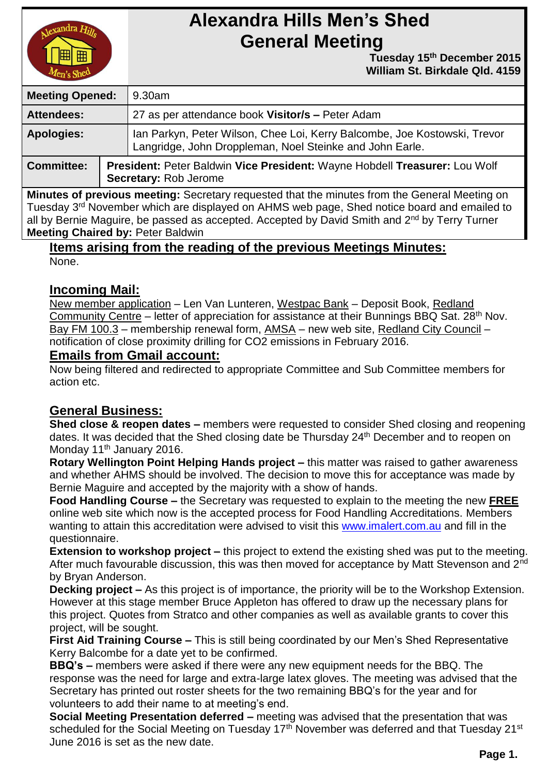

# **Alexandra Hills Men's Shed General Meeting**

 **Tuesday 15th December 2015 William St. Birkdale Qld. 4159** 

| <b>Meeting Opened:</b> |  | 9.30am                                                                                                                                |  |
|------------------------|--|---------------------------------------------------------------------------------------------------------------------------------------|--|
| <b>Attendees:</b>      |  | 27 as per attendance book Visitor/s - Peter Adam                                                                                      |  |
| <b>Apologies:</b>      |  | Ian Parkyn, Peter Wilson, Chee Loi, Kerry Balcombe, Joe Kostowski, Trevor<br>Langridge, John Droppleman, Noel Steinke and John Earle. |  |
| <b>Committee:</b>      |  | President: Peter Baldwin Vice President: Wayne Hobdell Treasurer: Lou Wolf<br>Secretary: Rob Jerome                                   |  |

**Minutes of previous meeting:** Secretary requested that the minutes from the General Meeting on Tuesday 3<sup>rd</sup> November which are displayed on AHMS web page, Shed notice board and emailed to all by Bernie Maguire, be passed as accepted. Accepted by David Smith and 2<sup>nd</sup> by Terry Turner **Meeting Chaired by:** Peter Baldwin

#### **Items arising from the reading of the previous Meetings Minutes:** None.

## **Incoming Mail:**

New member application – Len Van Lunteren, Westpac Bank – Deposit Book, Redland Community Centre – letter of appreciation for assistance at their Bunnings BBQ Sat. 28<sup>th</sup> Nov. Bay FM 100.3 – membership renewal form, AMSA – new web site, Redland City Council – notification of close proximity drilling for CO2 emissions in February 2016.

### **Emails from Gmail account:**

Now being filtered and redirected to appropriate Committee and Sub Committee members for action etc.

## **General Business:**

**Shed close & reopen dates –** members were requested to consider Shed closing and reopening dates. It was decided that the Shed closing date be Thursday 24<sup>th</sup> December and to reopen on Monday 11<sup>th</sup> January 2016.

**Rotary Wellington Point Helping Hands project –** this matter was raised to gather awareness and whether AHMS should be involved. The decision to move this for acceptance was made by Bernie Maguire and accepted by the majority with a show of hands.

**Food Handling Course –** the Secretary was requested to explain to the meeting the new **FREE** online web site which now is the accepted process for Food Handling Accreditations. Members wanting to attain this accreditation were advised to visit this [www.imalert.com.au](http://www.imalert.com.au/) and fill in the questionnaire.

**Extension to workshop project –** this project to extend the existing shed was put to the meeting. After much favourable discussion, this was then moved for acceptance by Matt Stevenson and 2<sup>nd</sup> by Bryan Anderson.

**Decking project –** As this project is of importance, the priority will be to the Workshop Extension. However at this stage member Bruce Appleton has offered to draw up the necessary plans for this project. Quotes from Stratco and other companies as well as available grants to cover this project, will be sought.

**First Aid Training Course –** This is still being coordinated by our Men's Shed Representative Kerry Balcombe for a date yet to be confirmed.

**BBQ's –** members were asked if there were any new equipment needs for the BBQ. The response was the need for large and extra-large latex gloves. The meeting was advised that the Secretary has printed out roster sheets for the two remaining BBQ's for the year and for volunteers to add their name to at meeting's end.

**Social Meeting Presentation deferred –** meeting was advised that the presentation that was scheduled for the Social Meeting on Tuesday 17<sup>th</sup> November was deferred and that Tuesday 21<sup>st</sup> June 2016 is set as the new date.